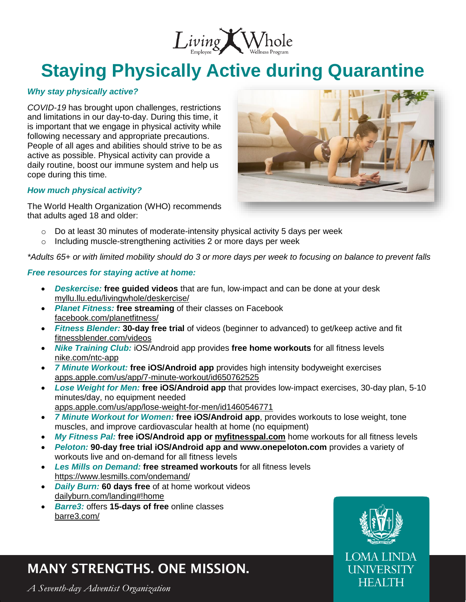

# **Staying Physically Active during Quarantine**

#### *Why stay physically active?*

*COVID-19* has brought upon challenges, restrictions and limitations in our day-to-day. During this time, it is important that we engage in physical activity while following necessary and appropriate precautions. People of all ages and abilities should strive to be as active as possible. Physical activity can provide a daily routine, boost our immune system and help us cope during this time.

#### *How much physical activity?*

The World Health Organization (WHO) recommends that adults aged 18 and older:



- $\circ$  Do at least 30 minutes of moderate-intensity physical activity 5 days per week
- o Including muscle-strengthening activities 2 or more days per week

*\*Adults 65+ or with limited mobility should do 3 or more days per week to focusing on balance to prevent falls*

#### *Free resources for staying active at home:*

- *Deskercise:* **free guided videos** that are fun, low-impact and can be done at your desk [myllu.llu.edu/livingwhole/deskercise/](https://myllu.llu.edu/livingwhole/deskercise/)
- *Planet Fitness:* **free streaming** of their classes on Facebook [facebook.com/planetfitness/](https://www.facebook.com/planetfitness/)
- *Fitness Blender:* **30-day free trial** of videos (beginner to advanced) to get/keep active and fit [fitnessblender.com/videos](http://www.fitnessblender.com/videos)
- *Nike Training Club:* iOS/Android app provides **free home workouts** for all fitness levels [nike.com/ntc-app](http://www.nike.com/ntc-app)
- *7 Minute Workout:* **free iOS/Android app** provides high intensity bodyweight exercises [apps.apple.com/us/app/7-minute-workout/id650762525](https://apps.apple.com/us/app/7-minute-workout/id650762525)
- *Lose Weight for Men:* **free iOS/Android app** that provides low-impact exercises, 30-day plan, 5-10 minutes/day, no equipment needed [apps.apple.com/us/app/lose-weight-for-men/id1460546771](https://apps.apple.com/us/app/lose-weight-for-men/id1460546771)
- *7 Minute Workout for Women:* **free iOS/Android app**, provides workouts to lose weight, tone muscles, and improve cardiovascular health at home (no equipment)
- *My Fitness Pal:* **free iOS/Android app or [myfitnesspal.com](http://www.myfitnesspal.com/)** home workouts for all fitness levels
- *Peloton:* **90-day free trial iOS/Android app and www.onepeloton.com** provides a variety of workouts live and on-demand for all fitness levels
- *Les Mills on Demand:* **free streamed workouts** for all fitness levels <https://www.lesmills.com/ondemand/>
- *Daily Burn:* **60 days free** of at home workout videos [dailyburn.com/landing#!home](https://dailyburn.com/landing#!home)
- *Barre3:* offers **15-days of free** online classes [barre3.com/](https://barre3.com/)

### MANY STRENGTHS. ONE MISSION.

A Seventh-day Adventist Organization